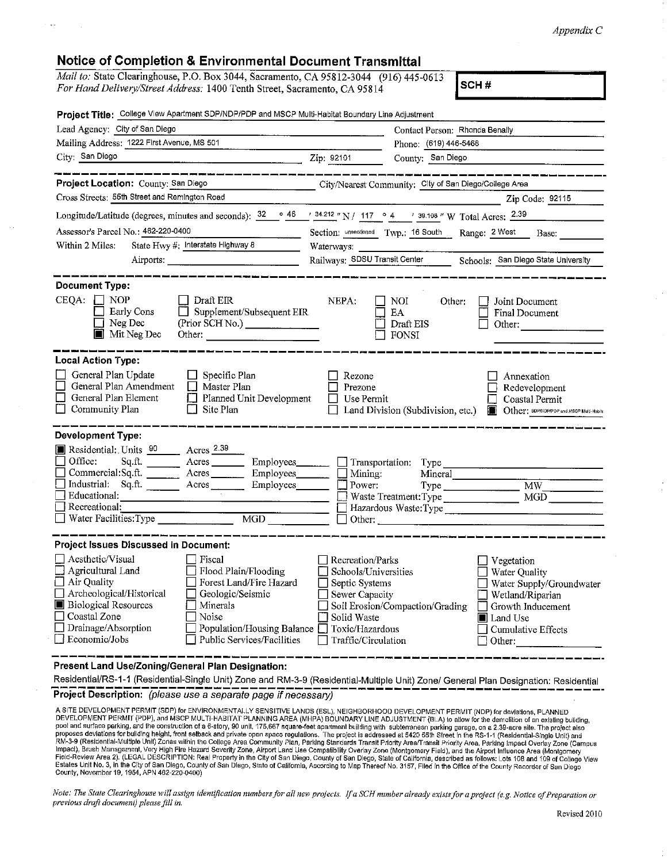## **Notice of Completion** & **Environmental Document Transmittal**

*Mail to:* State Clearinghouse, P.O. Box 3044, Sacramento, CA 95812-3044 (916) 445-0613 *For Hand Delivery/Street Address:* 1400 Tenth Street, Sacramento, CA 95814 **SCH # SCH #** 

| Project Title: College View Apartment SDP/NDP/PDP and MSCP Multi-Habitat Boundary Line Adjustment                                                                                                                                                                                                                                                                             |                                                                                                                                                                                                                                                                                                                                 |
|-------------------------------------------------------------------------------------------------------------------------------------------------------------------------------------------------------------------------------------------------------------------------------------------------------------------------------------------------------------------------------|---------------------------------------------------------------------------------------------------------------------------------------------------------------------------------------------------------------------------------------------------------------------------------------------------------------------------------|
| Lead Agency: City of San Diego                                                                                                                                                                                                                                                                                                                                                | Contact Person: Rhonda Benally                                                                                                                                                                                                                                                                                                  |
| Mailing Address: 1222 First Avenue, MS 501                                                                                                                                                                                                                                                                                                                                    | Phone: (619) 446-5468                                                                                                                                                                                                                                                                                                           |
| City: San Diego Zip: 92101                                                                                                                                                                                                                                                                                                                                                    | County: San Diego                                                                                                                                                                                                                                                                                                               |
| .<br>1980 - Andre Samer, Amerikaansk politikus (d. 1911)<br>Project Location: County: San Diego                                                                                                                                                                                                                                                                               | —————————                                                                                                                                                                                                                                                                                                                       |
| Cross Streets: 55th Street and Remington Road                                                                                                                                                                                                                                                                                                                                 | City/Nearest Community: City of San Diego/College Area                                                                                                                                                                                                                                                                          |
|                                                                                                                                                                                                                                                                                                                                                                               | Zip Code: 92115                                                                                                                                                                                                                                                                                                                 |
|                                                                                                                                                                                                                                                                                                                                                                               | Longitude/Latitude (degrees, minutes and seconds): $\frac{32}{2}$ $\frac{\circ}{46}$ $\frac{48.212}{2}$ N / 117 $\circ$ 4 $\prime$ 39.108 " W Total Acres: $\frac{2.39}{2}$                                                                                                                                                     |
| Assessor's Parcel No.: 462-220-0400                                                                                                                                                                                                                                                                                                                                           | Section: unsectioned Twp.: 16 South Range: 2 West Base:                                                                                                                                                                                                                                                                         |
| State Hwy #: Interstate Highway 8<br>Within 2 Miles:                                                                                                                                                                                                                                                                                                                          | Waterways:                                                                                                                                                                                                                                                                                                                      |
|                                                                                                                                                                                                                                                                                                                                                                               | Railways: SDSU Transit Center Schools: San Diego State University                                                                                                                                                                                                                                                               |
| <b>Document Type:</b><br>$CEQA: \Box NP$<br>Draft EIR<br>$\Box$ Supplement/Subsequent EIR<br>Early Cons<br>Supplement/Subsequent EIR<br>(Prior SCH No.)<br>П<br>Neg Dec<br>$\blacksquare$ Mit Neg Dec                                                                                                                                                                         | $\Box$ Noi<br>NEPA:<br>Other:<br>Joint Document<br>EA<br>Final Document<br>Draft EIS<br>Other:<br>FONSI                                                                                                                                                                                                                         |
| <b>Local Action Type:</b><br>General Plan Update<br>Specific Plan<br>ப<br>General Plan Amendment<br>$\Box$<br>Master Plan<br>$\Box$<br>General Plan Element<br>Planned Unit Development<br>□<br>Community Plan<br>Ш<br>Site Plan                                                                                                                                              | Rezone<br>Annexation<br>Prezone<br>Redevelopment<br>$\Box$ Use Permit<br>Coastal Permit<br>$\Box$ Land Division (Subdivision, etc.)<br>Other: SDP/NDP/PDP and MSCP Multi-Habita                                                                                                                                                 |
| <b>Development Type:</b><br>Residential: Units 90 Acres 2.39<br>Office:<br>Commercial:Sq.ft. _________ Acres _________ Employees _______<br>Industrial: Sq.ft. ________ Acres ________ Employees _______ [<br>Educational:<br>$\Box$ Recreational:                                                                                                                            | Sq.ft. ________ Acres _________ Employees________ ___ Transportation: Type ________________________<br>Mining:<br>Mineral<br>Type MW_<br>Power:<br>MGD<br>Hazardous Waste:Type                                                                                                                                                  |
| Project Issues Discussed in Document:                                                                                                                                                                                                                                                                                                                                         |                                                                                                                                                                                                                                                                                                                                 |
| $\Box$ Aesthetic/Visual<br>  Fiscal<br>Agricultural Land<br>$\Box$ Flood Plain/Flooding<br>□ Air Quality<br>Forest Land/Fire Hazard<br>□ Archeological/Historical □ Geologic/Seismic<br><b>Biological Resources</b><br>Minerals<br>$\Box$ Coastal Zone<br>Noise<br>Drainage/Absorption<br>Population/Housing Balance $\square$<br>Economic/Jobs<br>Public Services/Facilities | Recreation/Parks<br>Vegetation<br>Schools/Universities<br>Water Quality<br>Septic Systems<br>Water Supply/Groundwater<br>Sewer Capacity<br>$\Box$ Wetland/Riparian<br>Soil Erosion/Compaction/Grading<br>Growth Inducement<br>Solid Waste<br>Land Use<br>Toxic/Hazardous<br>Cumulative Effects<br>Traffic/Circulation<br>Other: |
| Present Land Use/Zoning/General Plan Designation:                                                                                                                                                                                                                                                                                                                             |                                                                                                                                                                                                                                                                                                                                 |
|                                                                                                                                                                                                                                                                                                                                                                               | Residential/RS-1-1 (Residential-Single Unit) Zone and RM-3-9 (Residential-Multiple Unit) Zone/ General Plan Designation: Residential                                                                                                                                                                                            |
| Project Description: (please use a separate page if necessary)                                                                                                                                                                                                                                                                                                                |                                                                                                                                                                                                                                                                                                                                 |

A SITE DEVELOPMENT PERMIT (SDP) for ENVIRONMENTALLY SENSITIVE LANDS (ESL), NEIGHBORHOOD DEVELOPMENT PERMIT (NDP) for deviations, PLANNED<br>DEVELOPMENT PERMIT (PDP), and MSCP MULTI-HABITAT PLANNING AREA (MHPA) BOUNDARY LINE A

*Note: The State Clearinghouse will asstgn identification numbers for all new projects. If a SCH number already exists for a project (e.g. Notice of Preparation or previous draft document) please fill in.*